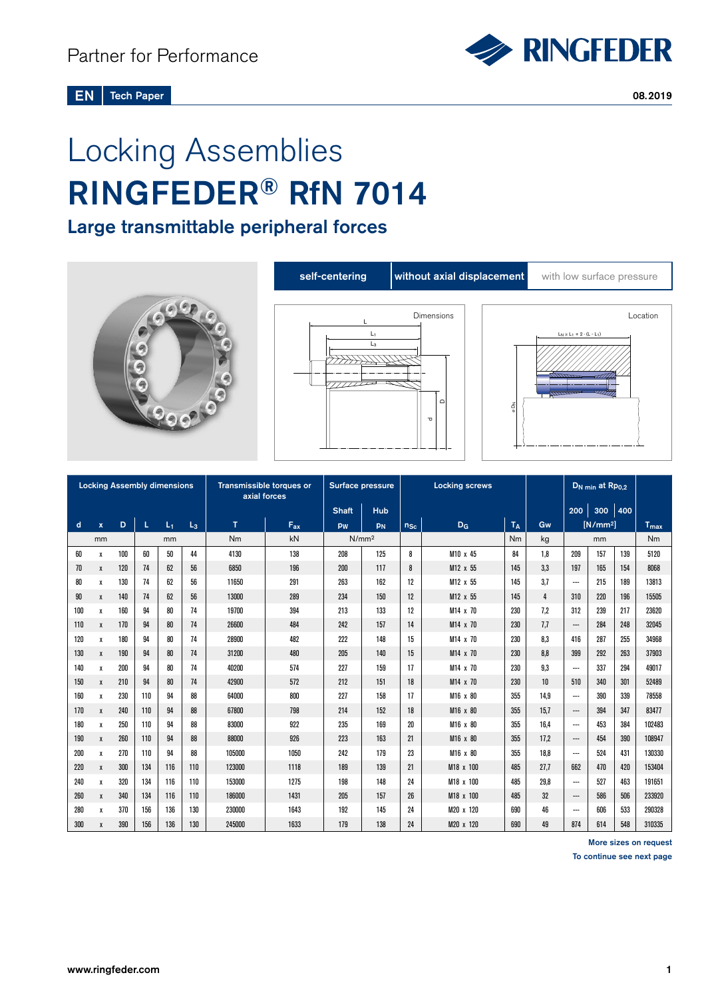

#### Tech Paper 2008.2019 EN

# Locking Assemblies RINGFEDER® RfN 7014

Large transmittable peripheral forces



| <b>Locking Assembly dimensions</b> |              |     |     |       |       | Transmissible torques or<br>axial forces |          | Surface pressure |                   | <b>Locking screws</b>               |           |     |      | D <sub>N min</sub> at Rp <sub>0.2</sub> |     |                        |        |
|------------------------------------|--------------|-----|-----|-------|-------|------------------------------------------|----------|------------------|-------------------|-------------------------------------|-----------|-----|------|-----------------------------------------|-----|------------------------|--------|
|                                    |              |     |     |       |       |                                          |          | <b>Shaft</b>     | <b>Hub</b>        |                                     |           |     |      | 200                                     | 300 | 400                    |        |
| d                                  | $\mathbf{x}$ | D   | L   | $L_1$ | $L_3$ | T                                        | $F_{ax}$ | pw               | PN                | T <sub>A</sub><br>$D_G$<br>$n_{Sc}$ |           |     | Gw   | $[N/mm^2]$                              |     | <b>T<sub>max</sub></b> |        |
|                                    | mm           |     |     | mm    |       | Nm                                       | kN       |                  | N/mm <sup>2</sup> |                                     |           | Nm  | kg   |                                         | mm  |                        | Nm     |
| 60                                 | X            | 100 | 60  | 50    | 44    | 4130                                     | 138      | 208              | 125               | 8                                   | M10 x 45  | 84  | 1.8  | 209                                     | 157 | 139                    | 5120   |
| 70                                 | X            | 120 | 74  | 62    | 56    | 6850                                     | 196      | 200              | 117               | 8                                   | M12 x 55  | 145 | 3.3  | 197                                     | 165 | 154                    | 8068   |
| 80                                 | X            | 130 | 74  | 62    | 56    | 11650                                    | 291      | 263              | 162               | 12                                  | M12 x 55  | 145 | 3.7  | ---                                     | 215 | 189                    | 13813  |
| 90                                 | $\mathbf{x}$ | 140 | 74  | 62    | 56    | 13000                                    | 289      | 234              | 150               | 12                                  | M12 x 55  | 145 | 4    | 310                                     | 220 | 196                    | 15505  |
| 100                                | х            | 160 | 94  | 80    | 74    | 19700                                    | 394      | 213              | 133               | 12                                  | M14 x 70  | 230 | 7.2  | 312                                     | 239 | 217                    | 23620  |
| 110                                | $\pmb{\chi}$ | 170 | 94  | 80    | 74    | 26600                                    | 484      | 242              | 157               | 14                                  | M14 x 70  | 230 | 7.7  | $\hspace{0.05cm} \cdots$                | 284 | 248                    | 32045  |
| 120                                | X            | 180 | 94  | 80    | 74    | 28900                                    | 482      | 222              | 148               | 15                                  | M14 x 70  | 230 | 8.3  | 416                                     | 287 | 255                    | 34968  |
| 130                                | X            | 190 | 94  | 80    | 74    | 31200                                    | 480      | 205              | 140               | 15                                  | M14 x 70  | 230 | 8.8  | 399                                     | 292 | 263                    | 37903  |
| 140                                | х            | 200 | 94  | 80    | 74    | 40200                                    | 574      | 227              | 159               | 17                                  | M14 x 70  | 230 | 9,3  | $\overline{\phantom{a}}$                | 337 | 294                    | 49017  |
| 150                                | X            | 210 | 94  | 80    | 74    | 42900                                    | 572      | 212              | 151               | 18                                  | M14 x 70  | 230 | 10   | 510                                     | 340 | 301                    | 52489  |
| 160                                | х            | 230 | 110 | 94    | 88    | 64000                                    | 800      | 227              | 158               | 17                                  | M16 x 80  | 355 | 14.9 | $\overline{\phantom{a}}$                | 390 | 339                    | 78558  |
| 170                                | $\pmb{\chi}$ | 240 | 110 | 94    | 88    | 67800                                    | 798      | 214              | 152               | 18                                  | M16 x 80  | 355 | 15.7 | $\hspace{0.05cm} \ldots$                | 394 | 347                    | 83477  |
| 180                                | х            | 250 | 110 | 94    | 88    | 83000                                    | 922      | 235              | 169               | 20                                  | M16 x 80  | 355 | 16.4 | ---                                     | 453 | 384                    | 102483 |
| 190                                | X            | 260 | 110 | 94    | 88    | 88000                                    | 926      | 223              | 163               | 21                                  | M16 x 80  | 355 | 17.2 | ---                                     | 454 | 390                    | 108947 |
| 200                                | х            | 270 | 110 | 94    | 88    | 105000                                   | 1050     | 242              | 179               | 23                                  | M16 x 80  | 355 | 18.8 | ---                                     | 524 | 431                    | 130330 |
| 220                                | X            | 300 | 134 | 116   | 110   | 123000                                   | 1118     | 189              | 139               | 21                                  | M18 x 100 | 485 | 27.7 | 662                                     | 470 | 420                    | 153404 |
| 240                                | Х            | 320 | 134 | 116   | 110   | 153000                                   | 1275     | 198              | 148               | 24                                  | M18 x 100 | 485 | 29,8 | $\overline{\phantom{a}}$                | 527 | 463                    | 191651 |
| 260                                | X            | 340 | 134 | 116   | 110   | 186000                                   | 1431     | 205              | 157               | 26                                  | M18 x 100 | 485 | 32   | ---                                     | 586 | 506                    | 233920 |
| 280                                | Х            | 370 | 156 | 136   | 130   | 230000                                   | 1643     | 192              | 145               | 24                                  | M20 x 120 | 690 | 46   | ---                                     | 606 | 533                    | 290328 |
| 300                                | X            | 390 | 156 | 136   | 130   | 245000                                   | 1633     | 179              | 138               | 24                                  | M20 x 120 | 690 | 49   | 874                                     | 614 | 548                    | 310335 |

More sizes on request

To continue see next page